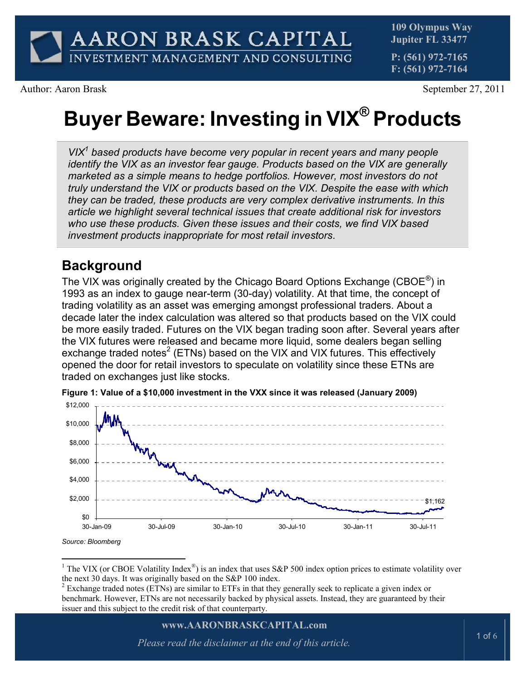

**P: (561) 972-7165 F: (561) 972-7164**

Author: Aaron Brask September 27, 2011

# **Buyer Beware: Investing in VIX® Products**

*VIX<sup>1</sup> based products have become very popular in recent years and many people identify the VIX as an investor fear gauge. Products based on the VIX are generally marketed as a simple means to hedge portfolios. However, most investors do not truly understand the VIX or products based on the VIX. Despite the ease with which they can be traded, these products are very complex derivative instruments. In this article we highlight several technical issues that create additional risk for investors who use these products. Given these issues and their costs, we find VIX based investment products inappropriate for most retail investors.*

# **Background**

The VIX was originally created by the Chicago Board Options Exchange (CBOE $^\circ$ ) in 1993 as an index to gauge near-term (30-day) volatility. At that time, the concept of trading volatility as an asset was emerging amongst professional traders. About a decade later the index calculation was altered so that products based on the VIX could be more easily traded. Futures on the VIX began trading soon after. Several years after the VIX futures were released and became more liquid, some dealers began selling exchange traded notes<sup>2</sup> (ETNs) based on the VIX and VIX futures. This effectively opened the door for retail investors to speculate on volatility since these ETNs are traded on exchanges just like stocks.



**Figure 1: Value of a \$10,000 investment in the VXX since it was released (January 2009)**

#### **www.AARONBRASKCAPITAL.com**

*Source: Bloomberg*

<sup>&</sup>lt;sup>1</sup> The VIX (or CBOE Volatility Index<sup>®</sup>) is an index that uses S&P 500 index option prices to estimate volatility over the next 30 days. It was originally based on the S&P 100 index.

<sup>&</sup>lt;sup>2</sup> Exchange traded notes (ETNs) are similar to ETFs in that they generally seek to replicate a given index or benchmark. However, ETNs are not necessarily backed by physical assets. Instead, they are guaranteed by their issuer and this subject to the credit risk of that counterparty.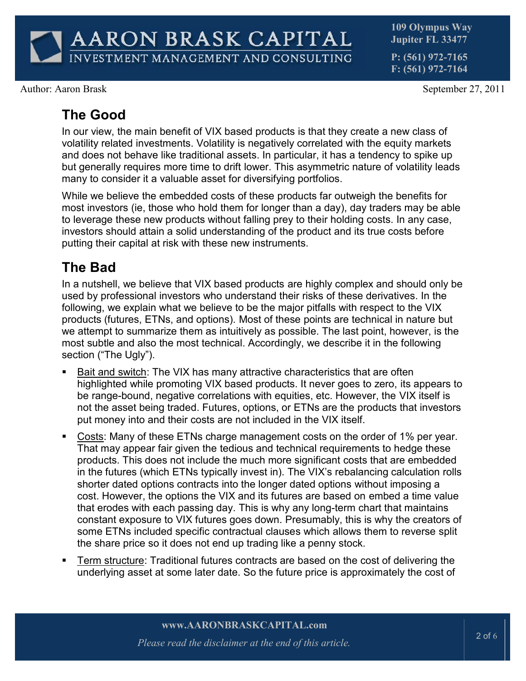**P: (561) 972-7165 F: (561) 972-7164**

Author: Aaron Brask September 27, 2011

# **The Good**

In our view, the main benefit of VIX based products is that they create a new class of volatility related investments. Volatility is negatively correlated with the equity markets and does not behave like traditional assets. In particular, it has a tendency to spike up but generally requires more time to drift lower. This asymmetric nature of volatility leads many to consider it a valuable asset for diversifying portfolios.

While we believe the embedded costs of these products far outweigh the benefits for most investors (ie, those who hold them for longer than a day), day traders may be able to leverage these new products without falling prey to their holding costs. In any case, investors should attain a solid understanding of the product and its true costs before putting their capital at risk with these new instruments.

# **The Bad**

In a nutshell, we believe that VIX based products are highly complex and should only be used by professional investors who understand their risks of these derivatives. In the following, we explain what we believe to be the major pitfalls with respect to the VIX products (futures, ETNs, and options). Most of these points are technical in nature but we attempt to summarize them as intuitively as possible. The last point, however, is the most subtle and also the most technical. Accordingly, we describe it in the following section ("The Ugly").

- Bait and switch: The VIX has many attractive characteristics that are often highlighted while promoting VIX based products. It never goes to zero, its appears to be range-bound, negative correlations with equities, etc. However, the VIX itself is not the asset being traded. Futures, options, or ETNs are the products that investors put money into and their costs are not included in the VIX itself.
- Costs: Many of these ETNs charge management costs on the order of 1% per year. That may appear fair given the tedious and technical requirements to hedge these products. This does not include the much more significant costs that are embedded in the futures (which ETNs typically invest in). The VIX's rebalancing calculation rolls shorter dated options contracts into the longer dated options without imposing a cost. However, the options the VIX and its futures are based on embed a time value that erodes with each passing day. This is why any long-term chart that maintains constant exposure to VIX futures goes down. Presumably, this is why the creators of some ETNs included specific contractual clauses which allows them to reverse split the share price so it does not end up trading like a penny stock.
- Term structure: Traditional futures contracts are based on the cost of delivering the underlying asset at some later date. So the future price is approximately the cost of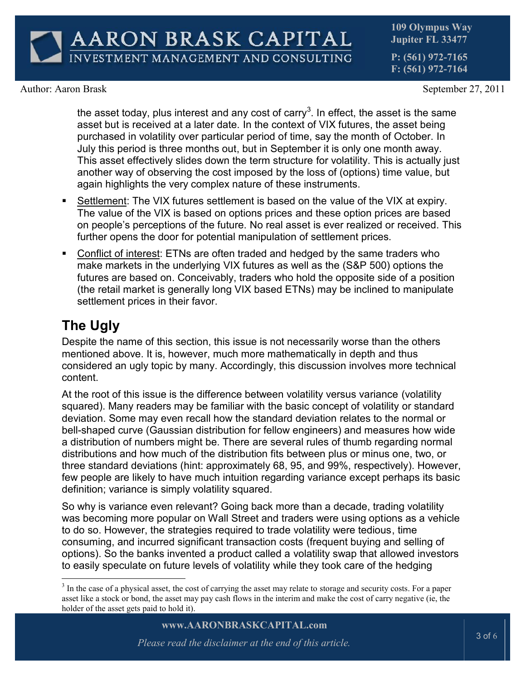**109 Olympus Way Jupiter FL 33477 P: (561) 972-7165 F: (561) 972-7164**

Author: Aaron Brask September 27, 2011

the asset today, plus interest and any cost of carry $^3$ . In effect, the asset is the same asset but is received at a later date. In the context of VIX futures, the asset being purchased in volatility over particular period of time, say the month of October. In July this period is three months out, but in September it is only one month away. This asset effectively slides down the term structure for volatility. This is actually just another way of observing the cost imposed by the loss of (options) time value, but again highlights the very complex nature of these instruments.

- Settlement: The VIX futures settlement is based on the value of the VIX at expiry. The value of the VIX is based on options prices and these option prices are based on people's perceptions of the future. No real asset is ever realized or received. This further opens the door for potential manipulation of settlement prices.
- Conflict of interest: ETNs are often traded and hedged by the same traders who make markets in the underlying VIX futures as well as the (S&P 500) options the futures are based on. Conceivably, traders who hold the opposite side of a position (the retail market is generally long VIX based ETNs) may be inclined to manipulate settlement prices in their favor.

# **The Ugly**

Despite the name of this section, this issue is not necessarily worse than the others mentioned above. It is, however, much more mathematically in depth and thus considered an ugly topic by many. Accordingly, this discussion involves more technical content.

At the root of this issue is the difference between volatility versus variance (volatility squared). Many readers may be familiar with the basic concept of volatility or standard deviation. Some may even recall how the standard deviation relates to the normal or bell-shaped curve (Gaussian distribution for fellow engineers) and measures how wide a distribution of numbers might be. There are several rules of thumb regarding normal distributions and how much of the distribution fits between plus or minus one, two, or three standard deviations (hint: approximately 68, 95, and 99%, respectively). However, few people are likely to have much intuition regarding variance except perhaps its basic definition; variance is simply volatility squared.

So why is variance even relevant? Going back more than a decade, trading volatility was becoming more popular on Wall Street and traders were using options as a vehicle to do so. However, the strategies required to trade volatility were tedious, time consuming, and incurred significant transaction costs (frequent buying and selling of options). So the banks invented a product called a volatility swap that allowed investors to easily speculate on future levels of volatility while they took care of the hedging

<sup>&</sup>lt;sup>3</sup> In the case of a physical asset, the cost of carrying the asset may relate to storage and security costs. For a paper asset like a stock or bond, the asset may pay cash flows in the interim and make the cost of carry negative (ie, the holder of the asset gets paid to hold it).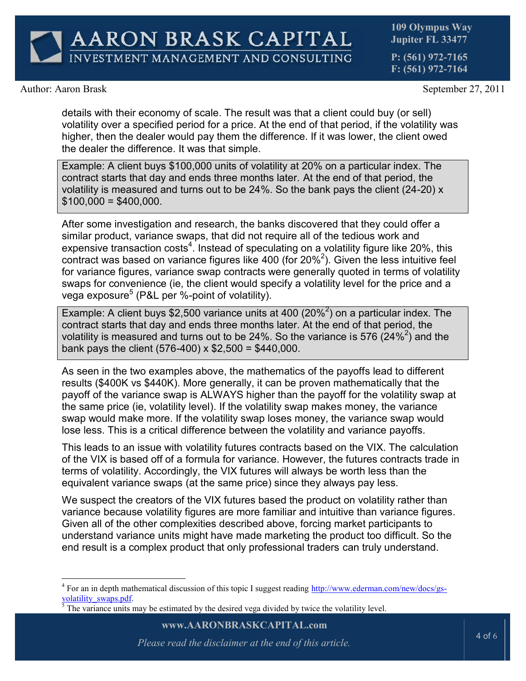**P: (561) 972-7165 F: (561) 972-7164**

Author: Aaron Brask September 27, 2011

details with their economy of scale. The result was that a client could buy (or sell) volatility over a specified period for a price. At the end of that period, if the volatility was higher, then the dealer would pay them the difference. If it was lower, the client owed the dealer the difference. It was that simple.

Example: A client buys \$100,000 units of volatility at 20% on a particular index. The contract starts that day and ends three months later. At the end of that period, the volatility is measured and turns out to be 24%. So the bank pays the client (24-20) x  $$100,000 = $400,000.$ 

After some investigation and research, the banks discovered that they could offer a similar product, variance swaps, that did not require all of the tedious work and expensive transaction costs<sup>4</sup>. Instead of speculating on a volatility figure like 20%, this contract was based on variance figures like 400 (for 20%<sup>2</sup>). Given the less intuitive feel for variance figures, variance swap contracts were generally quoted in terms of volatility swaps for convenience (ie, the client would specify a volatility level for the price and a vega exposure<sup>5</sup> (P&L per %-point of volatility).

Example: A client buys \$2,500 variance units at 400  $(20\%)^2$  on a particular index. The contract starts that day and ends three months later. At the end of that period, the volatility is measured and turns out to be 24%. So the variance is 576 (24%<sup>2</sup>) and the bank pays the client (576-400)  $\times$  \$2,500 = \$440,000.

As seen in the two examples above, the mathematics of the payoffs lead to different results (\$400K vs \$440K). More generally, it can be proven mathematically that the payoff of the variance swap is ALWAYS higher than the payoff for the volatility swap at the same price (ie, volatility level). If the volatility swap makes money, the variance swap would make more. If the volatility swap loses money, the variance swap would lose less. This is a critical difference between the volatility and variance payoffs.

This leads to an issue with volatility futures contracts based on the VIX. The calculation of the VIX is based off of a formula for variance. However, the futures contracts trade in terms of volatility. Accordingly, the VIX futures will always be worth less than the equivalent variance swaps (at the same price) since they always pay less.

We suspect the creators of the VIX futures based the product on volatility rather than variance because volatility figures are more familiar and intuitive than variance figures. Given all of the other complexities described above, forcing market participants to understand variance units might have made marketing the product too difficult. So the end result is a complex product that only professional traders can truly understand.

**www.AARONBRASKCAPITAL.com**

<sup>&</sup>lt;sup>4</sup> For an in depth mathematical discussion of this topic I suggest reading http://www.ederman.com/new/docs/gsvolatility\_swaps.pdf.

<sup>&</sup>lt;sup>5</sup> The variance units may be estimated by the desired vega divided by twice the volatility level.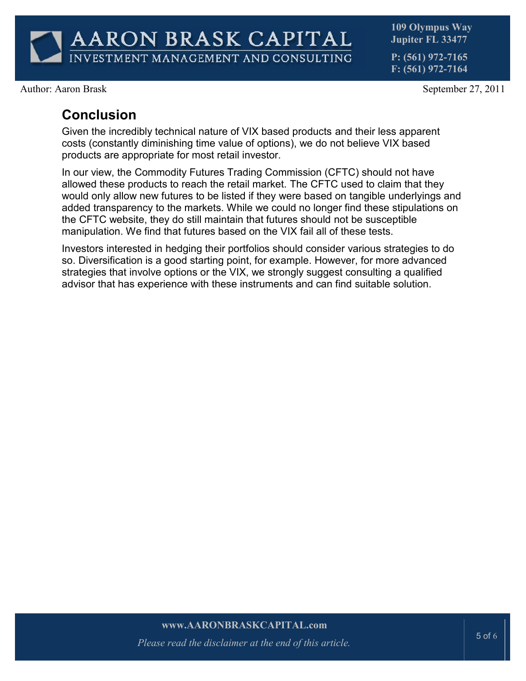**P: (561) 972-7165 F: (561) 972-7164**

Author: Aaron Brask September 27, 2011

#### **Conclusion**

Given the incredibly technical nature of VIX based products and their less apparent costs (constantly diminishing time value of options), we do not believe VIX based products are appropriate for most retail investor.

In our view, the Commodity Futures Trading Commission (CFTC) should not have allowed these products to reach the retail market. The CFTC used to claim that they would only allow new futures to be listed if they were based on tangible underlyings and added transparency to the markets. While we could no longer find these stipulations on the CFTC website, they do still maintain that futures should not be susceptible manipulation. We find that futures based on the VIX fail all of these tests.

Investors interested in hedging their portfolios should consider various strategies to do so. Diversification is a good starting point, for example. However, for more advanced strategies that involve options or the VIX, we strongly suggest consulting a qualified advisor that has experience with these instruments and can find suitable solution.